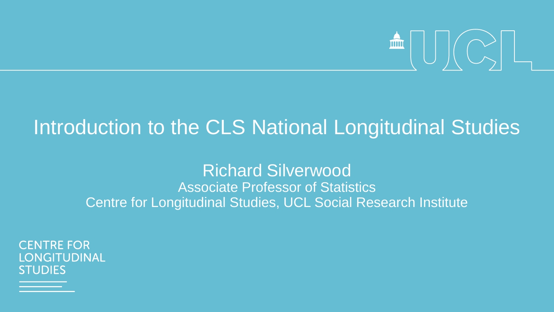

# Introduction to the CLS National Longitudinal Studies

Richard Silverwood Associate Professor of Statistics Centre for Longitudinal Studies, UCL Social Research Institute

**CENTRE FOR** NGITUDINAL **STUDIES**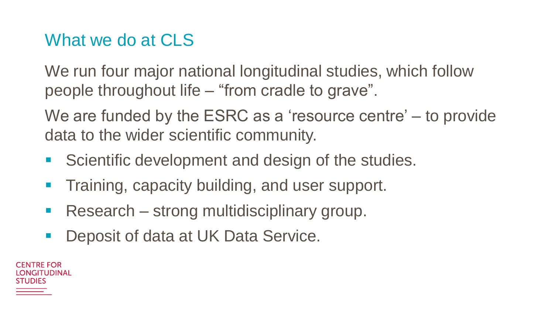### What we do at CLS

We run four major national longitudinal studies, which follow people throughout life – "from cradle to grave".

We are funded by the ESRC as a 'resource centre' – to provide data to the wider scientific community.

- **Scientific development and design of the studies.**
- **Training, capacity building, and user support.**
- **Research strong multidisciplinary group.**
- Deposit of data at UK Data Service.

CENTRE FOR NGITUDINAL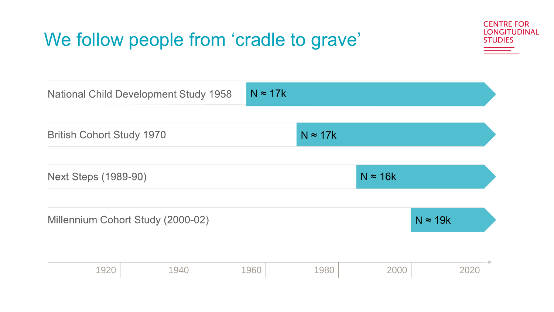## We follow people from 'cradle to grave'



| <b>National Child Development Study 1958</b> |      | $N \approx 17k$ |                 |                 |      |
|----------------------------------------------|------|-----------------|-----------------|-----------------|------|
| <b>British Cohort Study 1970</b>             |      |                 | $N \approx 17k$ |                 |      |
| <b>Next Steps (1989-90)</b>                  |      |                 |                 | $N \approx 16k$ |      |
| Millennium Cohort Study (2000-02)            |      | $N \approx 19k$ |                 |                 |      |
| 1920                                         | 1940 | 1960            | 1980            | 2000            | 2020 |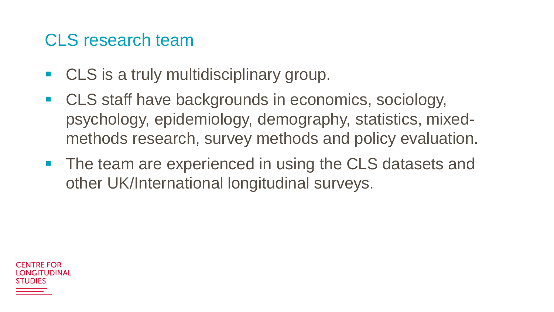### CLS research team

- **CLS** is a truly multidisciplinary group.
- CLS staff have backgrounds in economics, sociology, psychology, epidemiology, demography, statistics, mixedmethods research, survey methods and policy evaluation.
- The team are experienced in using the CLS datasets and other UK/International longitudinal surveys.

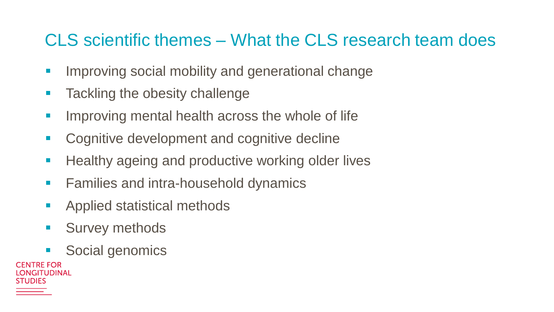## CLS scientific themes – What the CLS research team does

- **IMPROVING SOCIAL MODILITY AND GENERATIONAL CHANGE**
- **Tackling the obesity challenge**
- **IMPROVING METAL HEALTH ACROSS the whole of life**
- **EXECOGNITIVE DEVELOPMENT AND COGNITIVE decline**
- **Healthy ageing and productive working older lives**
- **Families and intra-household dynamics**
- **Applied statistical methods**
- **Survey methods**
- **Social genomics**

| <b>CENTRE FOR</b>  |
|--------------------|
| <b>LONGITUDINA</b> |
| <b>STUDIES</b>     |
|                    |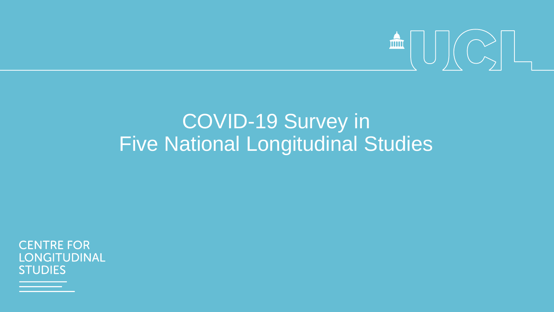

# COVID-19 Survey in Five National Longitudinal Studies

**CENTRE FOR LONGITUDINAL STUDIES**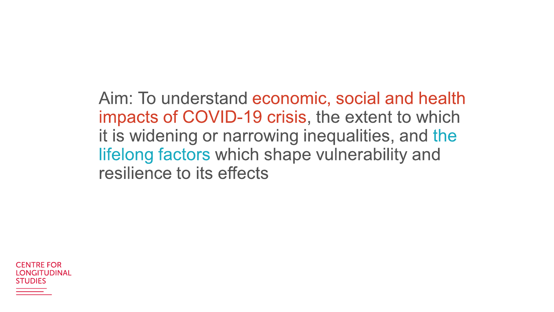Aim: To understand economic, social and health impacts of COVID-19 crisis, the extent to which it is widening or narrowing inequalities, and the lifelong factors which shape vulnerability and resilience to its effects

CENTRE FOR **IONGITUDINAL** STI IDIFS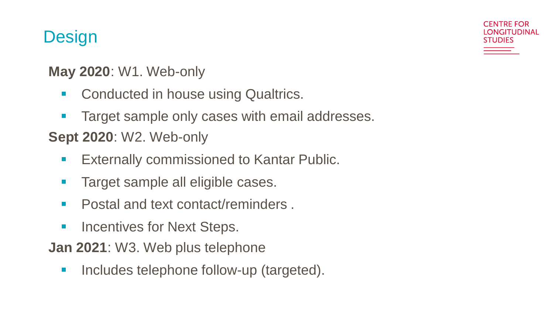## **Design**

#### **May 2020**: W1. Web-only

- **Conducted in house using Qualtrics.**
- **Target sample only cases with email addresses.**

**CENTRE FOR** I ONGITUDINAL

TUDIES

### **Sept 2020**: W2. Web-only

- **Externally commissioned to Kantar Public.**
- **Target sample all eligible cases.**
- **Postal and text contact/reminders.**
- **EXECUTE: Incentives for Next Steps.**
- **Jan 2021**: W3. Web plus telephone
	- **Includes telephone follow-up (targeted).**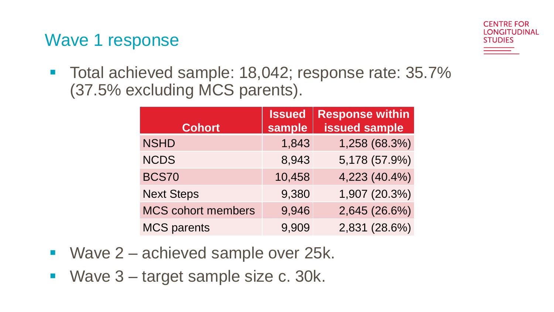Wave 1 response



■ Total achieved sample: 18,042; response rate: 35.7% (37.5% excluding MCS parents).

| <b>Cohort</b>             | <b>Issued</b><br>sample | <b>Response within</b><br><b>issued sample</b> |  |
|---------------------------|-------------------------|------------------------------------------------|--|
| <b>NSHD</b>               | 1,843                   | 1,258 (68.3%)                                  |  |
| <b>NCDS</b>               | 8,943                   | 5,178 (57.9%)                                  |  |
| <b>BCS70</b>              | 10,458                  | 4,223 (40.4%)                                  |  |
| <b>Next Steps</b>         | 9,380                   | 1,907 (20.3%)                                  |  |
| <b>MCS cohort members</b> | 9,946                   | 2,645 (26.6%)                                  |  |
| <b>MCS parents</b>        | 9,909                   | 2,831 (28.6%)                                  |  |

- Wave 2 achieved sample over 25k.
- Wave 3 target sample size c. 30k.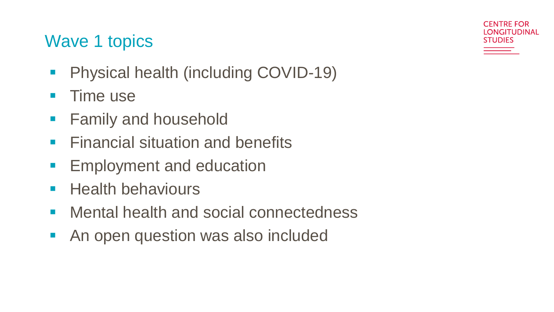## Wave 1 topics

- **Physical health (including COVID-19)**
- **Time use**
- **Family and household**
- **Financial situation and benefits**
- **Employment and education**
- **Health behaviours**
- **Mental health and social connectedness**
- **An open question was also included**

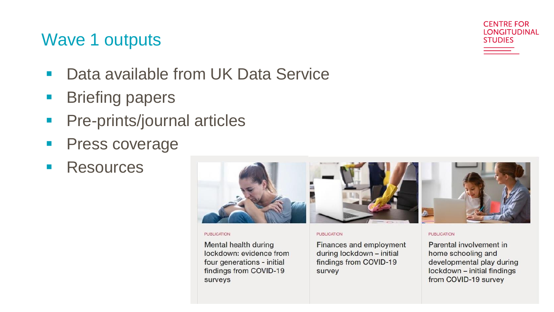### Wave 1 outputs

- Data available from UK Data Service
- **Briefing papers**
- **Pre-prints/journal articles**
- **Press coverage**
- **Resources**



#### **PUBLICATION**

Mental health during lockdown: evidence from four generations - initial findings from COVID-19 surveys

#### **PUBLICATION**

Finances and employment during lockdown - initial findings from COVID-19 survey

#### **PUBLICATION**

Parental involvement in home schooling and developmental play during lockdown - initial findings from COVID-19 survey

**CENTRE FOR LONGITUDINAL** 

**STUDIES**